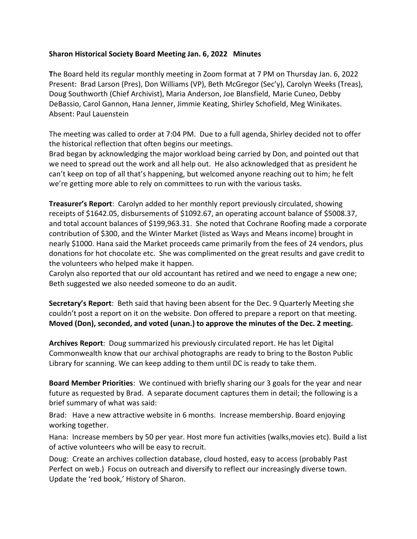## **Sharon Historical Society Board Meeting Jan. 6, 2022 Minutes**

**T**he Board held its regular monthly meeting in Zoom format at 7 PM on Thursday Jan. 6, 2022 Present: Brad Larson (Pres), Don Williams (VP), Beth McGregor (Sec'y), Carolyn Weeks (Treas), Doug Southworth (Chief Archivist), Maria Anderson, Joe Blansfield, Marie Cuneo, Debby DeBassio, Carol Gannon, Hana Jenner, Jimmie Keating, Shirley Schofield, Meg Winikates. Absent: Paul Lauenstein

The meeting was called to order at 7:04 PM. Due to a full agenda, Shirley decided not to offer the historical reflection that often begins our meetings.

Brad began by acknowledging the major workload being carried by Don, and pointed out that we need to spread out the work and all help out. He also acknowledged that as president he can't keep on top of all that's happening, but welcomed anyone reaching out to him; he felt we're getting more able to rely on committees to run with the various tasks.

**Treasurer's Report**: Carolyn added to her monthly report previously circulated, showing receipts of \$1642.05, disbursements of \$1092.67, an operating account balance of \$5008.37, and total account balances of \$199,963.31. She noted that Cochrane Roofing made a corporate contribution of \$300, and the Winter Market (listed as Ways and Means income) brought in nearly \$1000. Hana said the Market proceeds came primarily from the fees of 24 vendors, plus donations for hot chocolate etc. She was complimented on the great results and gave credit to the volunteers who helped make it happen.

Carolyn also reported that our old accountant has retired and we need to engage a new one; Beth suggested we also needed someone to do an audit.

**Secretary's Report**: Beth said that having been absent for the Dec. 9 Quarterly Meeting she couldn't post a report on it on the website. Don offered to prepare a report on that meeting. **Moved (Don), seconded, and voted (unan.) to approve the minutes of the Dec. 2 meeting.** 

**Archives Report**: Doug summarized his previously circulated report. He has let Digital Commonwealth know that our archival photographs are ready to bring to the Boston Public Library for scanning. We can keep adding to them until DC is ready to take them.

**Board Member Priorities**: We continued with briefly sharing our 3 goals for the year and near future as requested by Brad. A separate document captures them in detail; the following is a brief summary of what was said:

Brad: Have a new attractive website in 6 months. Increase membership. Board enjoying working together.

Hana: Increase members by 50 per year. Host more fun activities (walks,movies etc). Build a list of active volunteers who will be easy to recruit.

Doug: Create an archives collection database, cloud hosted, easy to access (probably Past Perfect on web.) Focus on outreach and diversify to reflect our increasingly diverse town. Update the 'red book,' History of Sharon.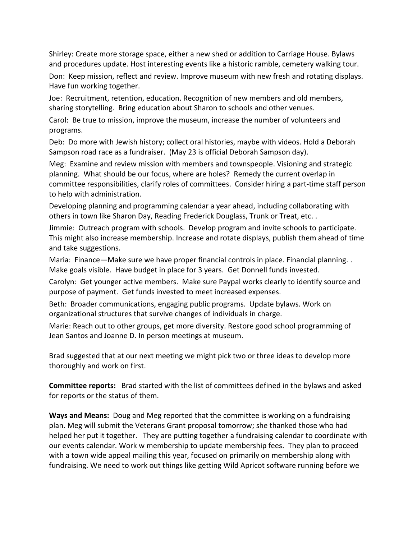Shirley: Create more storage space, either a new shed or addition to Carriage House. Bylaws and procedures update. Host interesting events like a historic ramble, cemetery walking tour.

Don: Keep mission, reflect and review. Improve museum with new fresh and rotating displays. Have fun working together.

Joe: Recruitment, retention, education. Recognition of new members and old members, sharing storytelling. Bring education about Sharon to schools and other venues.

Carol: Be true to mission, improve the museum, increase the number of volunteers and programs.

Deb: Do more with Jewish history; collect oral histories, maybe with videos. Hold a Deborah Sampson road race as a fundraiser. (May 23 is official Deborah Sampson day).

Meg: Examine and review mission with members and townspeople. Visioning and strategic planning. What should be our focus, where are holes? Remedy the current overlap in committee responsibilities, clarify roles of committees. Consider hiring a part-time staff person to help with administration.

Developing planning and programming calendar a year ahead, including collaborating with others in town like Sharon Day, Reading Frederick Douglass, Trunk or Treat, etc. .

Jimmie: Outreach program with schools. Develop program and invite schools to participate. This might also increase membership. Increase and rotate displays, publish them ahead of time and take suggestions.

Maria: Finance—Make sure we have proper financial controls in place. Financial planning. . Make goals visible. Have budget in place for 3 years. Get Donnell funds invested.

Carolyn: Get younger active members. Make sure Paypal works clearly to identify source and purpose of payment. Get funds invested to meet increased expenses.

Beth: Broader communications, engaging public programs. Update bylaws. Work on organizational structures that survive changes of individuals in charge.

Marie: Reach out to other groups, get more diversity. Restore good school programming of Jean Santos and Joanne D. In person meetings at museum.

Brad suggested that at our next meeting we might pick two or three ideas to develop more thoroughly and work on first.

**Committee reports:** Brad started with the list of committees defined in the bylaws and asked for reports or the status of them.

**Ways and Means:** Doug and Meg reported that the committee is working on a fundraising plan. Meg will submit the Veterans Grant proposal tomorrow; she thanked those who had helped her put it together. They are putting together a fundraising calendar to coordinate with our events calendar. Work w membership to update membership fees. They plan to proceed with a town wide appeal mailing this year, focused on primarily on membership along with fundraising. We need to work out things like getting Wild Apricot software running before we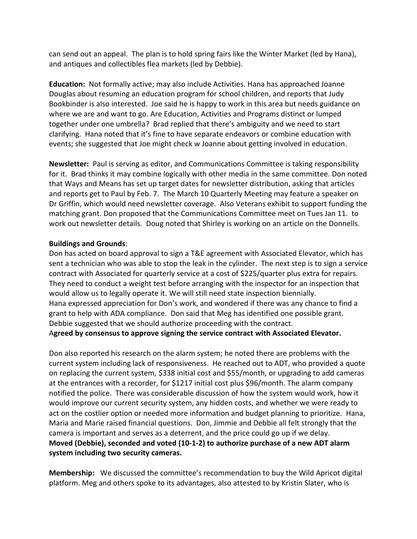can send out an appeal. The plan is to hold spring fairs like the Winter Market (led by Hana), and antiques and collectibles flea markets (led by Debbie).

**Education:** Not formally active; may also include Activities. Hana has approached Joanne Douglas about resuming an education program for school children, and reports that Judy Bookbinder is also interested. Joe said he is happy to work in this area but needs guidance on where we are and want to go. Are Education, Activities and Programs distinct or lumped together under one umbrella? Brad replied that there's ambiguity and we need to start clarifying. Hana noted that it's fine to have separate endeavors or combine education with events; she suggested that Joe might check w Joanne about getting involved in education.

**Newsletter:** Paul is serving as editor, and Communications Committee is taking responsibility for it. Brad thinks it may combine logically with other media in the same committee. Don noted that Ways and Means has set up target dates for newsletter distribution, asking that articles and reports get to Paul by Feb. 7. The March 10 Quarterly Meeting may feature a speaker on Dr Griffin, which would need newsletter coverage. Also Veterans exhibit to support funding the matching grant. Don proposed that the Communications Committee meet on Tues Jan 11. to work out newsletter details. Doug noted that Shirley is working on an article on the Donnells.

## **Buildings and Grounds**:

Don has acted on board approval to sign a T&E agreement with Associated Elevator, which has sent a technician who was able to stop the leak in the cylinder. The next step is to sign a service contract with Associated for quarterly service at a cost of \$225/quarter plus extra for repairs. They need to conduct a weight test before arranging with the inspector for an inspection that would allow us to legally operate it. We will still need state inspection biennially. Hana expressed appreciation for Don's work, and wondered if there was any chance to find a grant to help with ADA compliance. Don said that Meg has identified one possible grant. Debbie suggested that we should authorize proceeding with the contract. A**greed by consensus to approve signing the service contract with Associated Elevator.** 

Don also reported his research on the alarm system; he noted there are problems with the current system including lack of responsiveness. He reached out to ADT, who provided a quote on replacing the current system, \$338 initial cost and \$55/month, or upgrading to add cameras at the entrances with a recorder, for \$1217 initial cost plus \$96/month. The alarm company notified the police. There was considerable discussion of how the system would work, how it would improve our current security system, any hidden costs, and whether we were ready to act on the costlier option or needed more information and budget planning to prioritize. Hana, Maria and Marie raised financial questions. Don, Jimmie and Debbie all felt strongly that the camera is important and serves as a deterrent, and the price could go up if we delay. **Moved (Debbie), seconded and voted (10-1-2) to authorize purchase of a new ADT alarm system including two security cameras.**

**Membership:** We discussed the committee's recommendation to buy the Wild Apricot digital platform. Meg and others spoke to its advantages, also attested to by Kristin Slater, who is